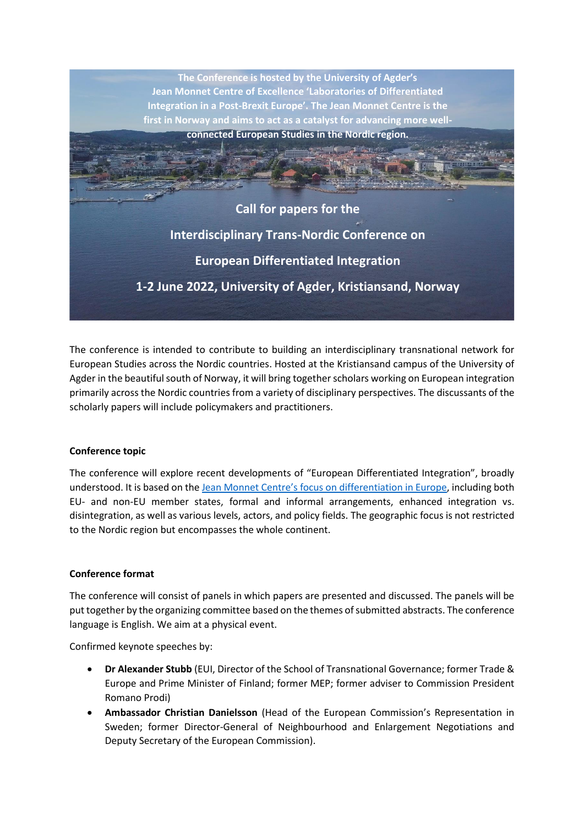

The conference is intended to contribute to building an interdisciplinary transnational network for European Studies across the Nordic countries. Hosted at the Kristiansand campus of the University of Agder in the beautiful south of Norway, it will bring together scholars working on European integration primarily across the Nordic countries from a variety of disciplinary perspectives. The discussants of the scholarly papers will include policymakers and practitioners.

## **Conference topic**

The conference will explore recent developments of "European Differentiated Integration", broadly understood. It is based on the [Jean Monnet Centre's focus on](https://jm-excellence.uia.no/about/) differentiation in Europe, including both EU- and non-EU member states, formal and informal arrangements, enhanced integration vs. disintegration, as well as various levels, actors, and policy fields. The geographic focus is not restricted to the Nordic region but encompasses the whole continent.

## **Conference format**

The conference will consist of panels in which papers are presented and discussed. The panels will be put together by the organizing committee based on the themes of submitted abstracts. The conference language is English. We aim at a physical event.

Confirmed keynote speeches by:

- **Dr Alexander Stubb** (EUI, Director of the School of Transnational Governance; former Trade & Europe and Prime Minister of Finland; former MEP; former adviser to Commission President Romano Prodi)
- **Ambassador Christian Danielsson** (Head of the European Commission's Representation in Sweden; former Director-General of Neighbourhood and Enlargement Negotiations and Deputy Secretary of the European Commission).